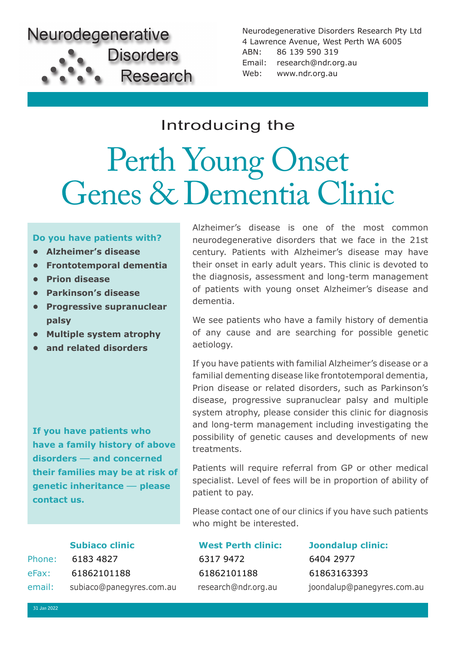

Neurodegenerative Disorders Research Pty Ltd 4 Lawrence Avenue, West Perth WA 6005 ABN: 86 139 590 319 Email: research@ndr.org.au Web: www.ndr.org.au

## Introducing the

## Perth Young Onset Genes & Dementia Clinic

### **Do you have patients with?**

- **• Alzheimer's disease**
- **• Frontotemporal dementia**
- **• Prion disease**
- **• Parkinson's disease**
- **• Progressive supranuclear palsy**
- **• Multiple system atrophy**
- **• and related disorders**

**If you have patients who have a family history of above disorders** — **and concerned their families may be at risk of genetic inheritance** — **please contact us.**

Phone: 6183 4827 6317 9472 6404 2977 eFax: 61862101188 61862101188 61863163393 email: subiaco@panegyres.com.au research@ndr.org.au joondalup@panegyres.com.au

Alzheimer's disease is one of the most common neurodegenerative disorders that we face in the 21st century. Patients with Alzheimer's disease may have their onset in early adult years. This clinic is devoted to the diagnosis, assessment and long-term management of patients with young onset Alzheimer's disease and dementia.

We see patients who have a family history of dementia of any cause and are searching for possible genetic aetiology.

If you have patients with familial Alzheimer's disease or a familial dementing disease like frontotemporal dementia, Prion disease or related disorders, such as Parkinson's disease, progressive supranuclear palsy and multiple system atrophy, please consider this clinic for diagnosis and long-term management including investigating the possibility of genetic causes and developments of new treatments.

Patients will require referral from GP or other medical specialist. Level of fees will be in proportion of ability of patient to pay.

Please contact one of our clinics if you have such patients who might be interested.

**Subiaco clinic West Perth clinic: Joondalup clinic:**